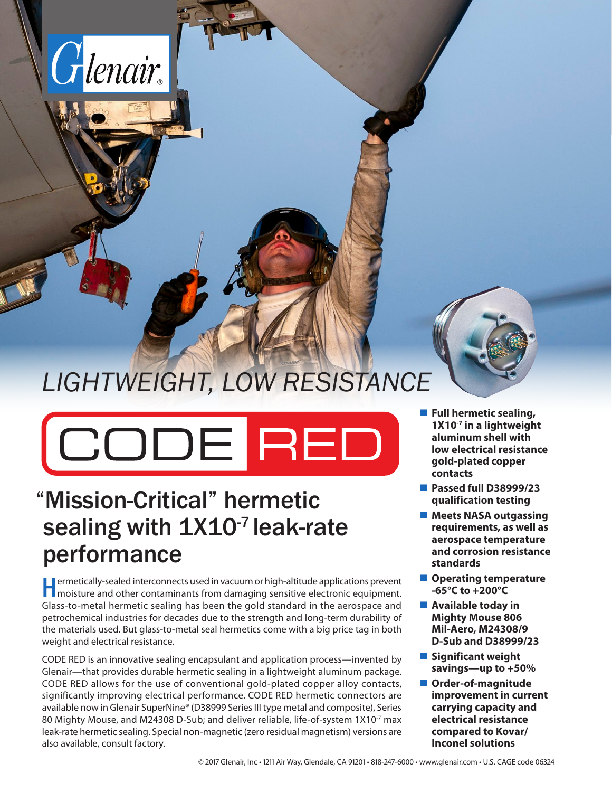

# *LIGHTWEIGHT, LOW RESISTANCE*

CODE RED

## "Mission-Critical" hermetic sealing with 1X10<sup>-7</sup> leak-rate performance

**Hermetically-sealed interconnects used in vacuum or high-altitude applications prevent moisture and other contaminants from damaging sensitive electronic equipment.** Glass-to-metal hermetic sealing has been the gold standard in the aerospace and petrochemical industries for decades due to the strength and long-term durability of the materials used. But glass-to-metal seal hermetics come with a big price tag in both weight and electrical resistance.

CODE RED is an innovative sealing encapsulant and application process—invented by Glenair—that provides durable hermetic sealing in a lightweight aluminum package. CODE RED allows for the use of conventional gold-plated copper alloy contacts, significantly improving electrical performance. CODE RED hermetic connectors are available now in Glenair SuperNine® (D38999 Series III type metal and composite), Series 80 Mighty Mouse, and M24308 D-Sub; and deliver reliable, life-of-system 1X10<sup>-7</sup> max leak-rate hermetic sealing. Special non-magnetic (zero residual magnetism) versions are also available, consult factory.



- **Full hermetic sealing, 1X10-7 in a lightweight aluminum shell with low electrical resistance gold-plated copper contacts**
- **Passed full D38999/23 qualification testing**
- **Meets NASA outgassing requirements, as well as aerospace temperature and corrosion resistance standards**
- **Operating temperature -65°C to +200°C**
- **Available today in Mighty Mouse 806 Mil-Aero, M24308/9 D-Sub and D38999/23**
- **Significant weight savings—up to +50%**
- **Order-of-magnitude improvement in current carrying capacity and electrical resistance compared to Kovar/ Inconel solutions**